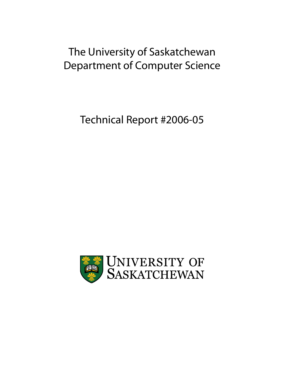# The University of Saskatchewan Department of Computer Science

Technical Report #2006-05

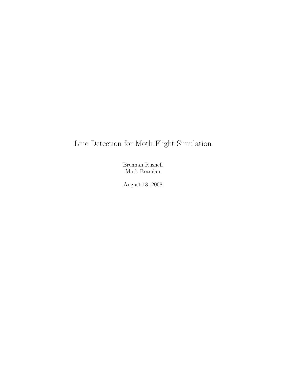## Line Detection for Moth Flight Simulation

Brennan Rusnell Mark Eramian

August 18, 2008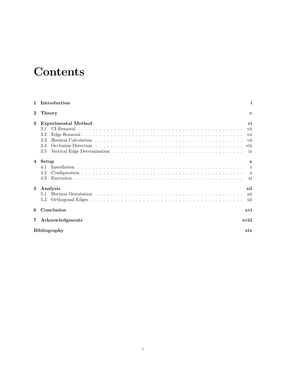# Contents

|                | Introduction               | i                  |  |  |
|----------------|----------------------------|--------------------|--|--|
| $\bf{2}$       | <b>Theory</b>              | $\mathbf{v}$       |  |  |
| 3              | Experimental Method        | vi                 |  |  |
|                | 3.1<br>3.2                 | vii<br>vii         |  |  |
|                | 3.3                        | vii                |  |  |
|                | 3.4<br>3.5                 | <b>V111</b><br>ix  |  |  |
| $\overline{4}$ | Setup                      | $\mathbf{x}$       |  |  |
|                | 41                         | $\mathbf{x}$       |  |  |
|                | 4.2<br>4.3                 | $\mathbf{x}$<br>xi |  |  |
| 5              | Analysis<br>5.1<br>5.2     | xii<br>xii<br>xii  |  |  |
| 6              | Conclusion                 | xvi                |  |  |
| $7\phantom{.}$ | xviii<br>Acknowledgments   |                    |  |  |
|                | <b>Bibliography</b><br>xix |                    |  |  |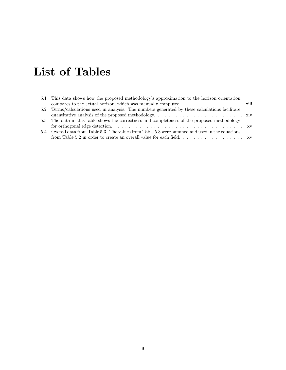# List of Tables

| 5.1 This data shows how the proposed methodology's approximation to the horizon orientation        |  |
|----------------------------------------------------------------------------------------------------|--|
| compares to the actual horizon, which was manually computed. $\dots \dots \dots \dots \dots \dots$ |  |
| 5.2 Terms/calculations used in analysis. The numbers generated by these calculations facilitate    |  |
|                                                                                                    |  |
| 5.3 The data in this table shows the correctness and completeness of the proposed methodology      |  |
|                                                                                                    |  |
| 5.4 Overall data from Table 5.3. The values from Table 5.3 were summed and used in the equations   |  |
|                                                                                                    |  |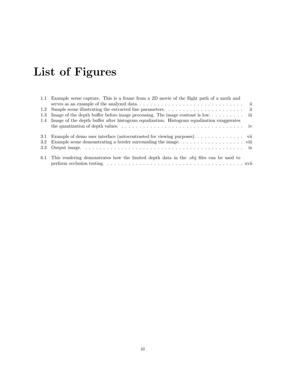# List of Figures

| 1.1 Example scene capture. This is a frame from a 2D movie of the flight path of a moth and<br>$\overline{\mathbf{ii}}$ |
|-------------------------------------------------------------------------------------------------------------------------|
| $\overline{\mathbf{u}}$                                                                                                 |
|                                                                                                                         |
| 1.4 Image of the depth buffer after histogram equalization. Histogram equalization exaggerates                          |
|                                                                                                                         |
| 3.1 Example of demo user interface (autocontrasted for viewing purposes). vii                                           |
|                                                                                                                         |
|                                                                                                                         |
| This rendering demonstrates how the limited depth data in the obj files can be used to                                  |
|                                                                                                                         |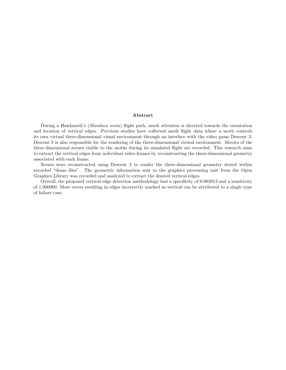#### Abstract

During a Hawkmoth's (Manduca sexta) flight path, much attention is directed towards the orientation and location of vertical edges. Previous studies have collected moth flight data where a moth controls its own virtual three-dimensional visual environment through an interface with the video game Descent 3. Descent 3 is also responsible for the rendering of the three-dimensional virutal environment. Movies of the three-dimensional scenes visible to the moths during its simulated flight are recorded. This research aims to extract the vertical edges from individual video frames by reconstructing the three-dimensional geometry associated with each frame.

Scenes were reconstructed using Descent 3 to render the three-dimensional geometry stored within recorded "demo files". The geometric information sent to the graphics processing unit from the Open Graphics Library was recorded and analyzed to extract the desired vertical edges.

Overall, the proposed vertical edge detection methodology had a specificity of 0.983913 and a sensitivity of 1.000000. Most errors resulting in edges incorrectly marked as vertical can be attributed to a single type of failure case.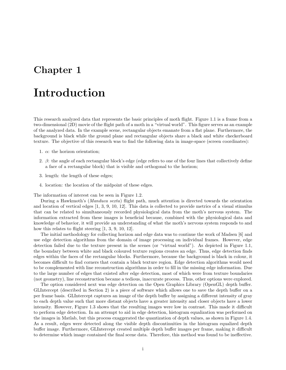## Introduction

This research analyzed data that represents the basic principles of moth flight. Figure 1.1 is a frame from a two-dimensional (2D) movie of the flight path of a moth in a "virtual world". This figure serves as an example of the analyzed data. In the example scene, rectangular objects emanate from a flat plane. Furthermore, the background is black while the ground plane and rectangular objects share a black and white checkerboard texture. The objective of this research was to find the following data in image-space (screen coordinates):

- 1.  $\alpha$ : the horizon orientation;
- 2. β: the angle of each rectangular block's edge (edge refers to one of the four lines that collectively define a face of a rectangular block) that is visible and orthogonal to the horizon;
- 3. length: the length of these edges;
- 4. location: the location of the midpoint of these edges.

The information of interest can be seen in Figure 1.2.

During a Hawkmoth's (Manduca sexta) flight path, much attention is directed towards the orientation and location of vertical edges [1, 3, 9, 10, 12]. This data is collected to provide metrics of a visual stimulus that can be related to simultaneously recorded physiological data from the moth's nervous system. The information extracted from these images is beneficial because, combined with the physiological data and knowledge of behavior, it will provide an understanding of what the moth's nervous system responds to and how this relates to flight steering [1, 3, 9, 10, 12].

The initial methodology for collecting horizon and edge data was to continue the work of Madsen [6] and use edge detection algorithms from the domain of image processing on individual frames. However, edge detection failed due to the texture present in the scenes (or "virtual world"). As depicted in Figure 1.1, the boundary between white and black coloured texture regions creates an edge. Thus, edge detection finds edges within the faces of the rectangular blocks. Furthermore, because the background is black in colour, it becomes difficult to find corners that contain a black texture region. Edge detection algorithms would need to be complemented with line reconstruction algorithms in order to fill in the missing edge information. Due to the large number of edges that existed after edge detection, most of which were from texture boundaries (not geometry), line reconstruction became a tedious, inaccurate process. Thus, other options were explored.

The option considered next was edge detection on the Open Graphics Library (OpenGL) depth buffer. GLIntercept (described in Section 2) is a piece of software which allows one to save the depth buffer on a per frame basis. GLIntercept captures an image of the depth buffer by assigning a different intensity of gray to each depth value such that more distant objects have a greater intensity and closer objects have a lower intensity. However, Figure 1.3 shows that the resulting images were low in contrast. This made it difficult to perform edge detection. In an attempt to aid in edge detection, histogram equalization was performed on the images in Matlab, but this process exaggerated the quantization of depth values, as shown in Figure 1.4. As a result, edges were detected along the visible depth discontinuities in the histogram equalized depth buffer image. Furthermore, GLIntercept created multiple depth buffer images per frame, making it difficult to determine which image contained the final scene data. Therefore, this method was found to be ineffective.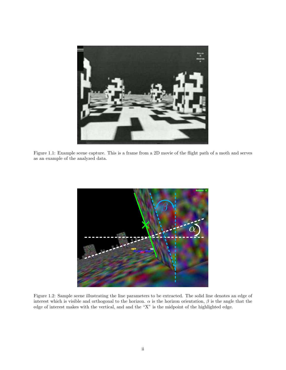

Figure 1.1: Example scene capture. This is a frame from a 2D movie of the flight path of a moth and serves as an example of the analyzed data.



Figure 1.2: Sample scene illustrating the line parameters to be extracted. The solid line denotes an edge of interest which is visible and orthogonal to the horizon.  $\alpha$  is the horizon orientation,  $\beta$  is the angle that the edge of interest makes with the vertical, and and the "X" is the midpoint of the highlighted edge.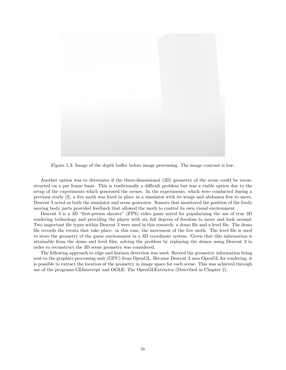

Figure 1.3: Image of the depth buffer before image processing. The image contrast is low.

Another option was to determine if the three-dimensional (3D) geometry of the scene could be reconstructed on a per frame basis. This is traditionally a difficult problem but was a viable option due to the setup of the experiments which generated the scenes. In the experiments, which were conducted during a previous study [3], a live moth was fixed in place in a simulator with its wings and abdomen free to move. Descent 3 acted as both the simulator and scene generator. Sensors that monitored the position of the freely moving body parts provided feedback that allowed the moth to control its own visual environment.

Descent 3 is a 3D "first-person shooter" (FPS) video game noted for popularizing the use of true 3D rendering technology and providing the player with six full degrees of freedom to move and look around. Two important file types within Descent 3 were used in this research: a demo file and a level file. The demo file records the events that take place: in this case, the movement of the live moth. The level file is used to store the geometry of the game environment in a 3D coordinate system. Given that this information is attainable from the demo and level files, solving the problem by replaying the demos using Descent 3 in order to reconstruct the 3D scene geometry was considered.

The following approach to edge and horizon detection was used: Record the geometric information being sent to the graphics processing unit (GPU) from OpenGL. Because Descent 3 uses OpenGL for rendering, it is possible to extract the location of the geometry in image space for each scene. This was achieved through use of the programs GLIntercept and OGLE: The OpenGLExtractor (Described in Chapter 2).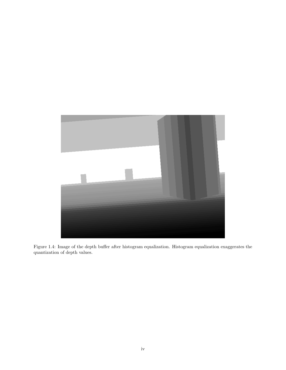

Figure 1.4: Image of the depth buffer after histogram equalization. Histogram equalization exaggerates the quantization of depth values.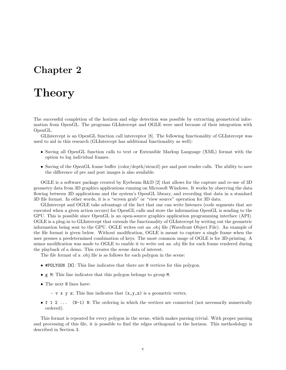## **Theory**

The successful completion of the horizon and edge detection was possible by extracting geometrical information from OpenGL. The programs GLIntercept and OGLE were used because of their integration with OpenGL.

GLIntercept is an OpenGL function call interceptor [8]. The following functionality of GLIntercept was used to aid in this research (GLIntercept has additional functionality as well):

- Saving all OpenGL function calls to text or Extensible Markup Language (XML) format with the option to log individual frames.
- Saving of the OpenGL frame buffer (color/depth/stencil) pre and post render calls. The ability to save the difference of pre and post images is also available.

OGLE is a software package created by Eyebeam R&D [2] that allows for the capture and re-use of 3D geometry data from 3D graphics applications running on Microsoft Windows. It works by observing the data flowing between 3D applications and the system's OpenGL library, and recording that data in a standard 3D file format. In other words, it is a "screen grab" or "view source" operation for 3D data.

GLIntercept and OGLE take advantage of the fact that one can write listeners (code segments that are executed when a given action occurs) for OpenGL calls and store the information OpenGL is sending to the GPU. This is possible since OpenGL is an open-source graphics application programming interface (API). OGLE is a plug-in to GLIntercept that extends the functionality of GLIntercept by writing out the geometric information being sent to the GPU. OGLE writes out an .obj file (Wavefront Object File). An example of the file format is given below. Without modification, OGLE is meant to capture a single frame when the user presses a predetermined combination of keys. The most common usage of OGLE is for 3D-printing. A minor modification was made to OGLE to enable it to write out an .obj file for each frame rendered during the playback of a demo. This creates the scene data of interest.

The file format of a .obj file is as follows for each polygon in the scene:

- #POLYGON [N]: This line indicates that there are N vertices for this polygon.
- g M: This line indicates that this polygon belongs to group M.
- The next N lines have:
	- v x y z: This line indicates that  $(x, y, z)$  is a geometric vertex.
- f 1 2 ... (N-1) N: The ordering in which the vertices are connected (not necessarily numerically ordered).

This format is repeated for every polygon in the scene, which makes parsing trivial. With proper parsing and processing of this file, it is possible to find the edges orthogonal to the horizon. This methodology is described in Section 3.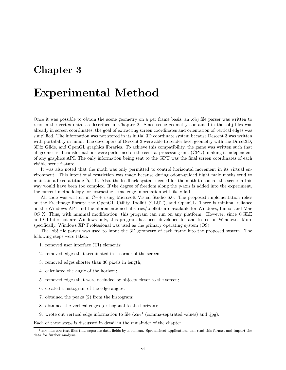## Experimental Method

Once it was possible to obtain the scene geometry on a per frame basis, an .obj file parser was written to read in the vertex data, as described in Chapter 2. Since scene geometry contained in the .obj files was already in screen coordinates, the goal of extracting screen coordinates and orientation of vertical edges was simplified. The information was not stored in its initial 3D coordinate system because Descent 3 was written with portability in mind. The developers of Descent 3 were able to render level geometry with the Direct3D, 3Dfx Glide, and OpenGL graphics libraries. To achieve this compatibility, the game was written such that all geometrical transformations were performed on the central processing unit (CPU), making it independent of any graphics API. The only information being sent to the GPU was the final screen coordinates of each visible scene feature.

It was also noted that the moth was only permitted to control horizontal movement in its virtual environment. This intentional restriction was made because during odour-guided flight male moths tend to maintain a fixed altitude [5, 11]. Also, the feedback system needed for the moth to control the scene in this way would have been too complex. If the degree of freedom along the y-axis is added into the experiment, the current methodology for extracting scene edge information will likely fail.

All code was written in C++ using Microsoft Visual Studio 6.0. The proposed implementation relies on the FreeImage library, the OpenGL Utility Toolkit (GLUT), and OpenGL. There is minimal reliance on the Windows API and the aforementioned libraries/toolkits are available for Windows, Linux, and Mac OS X. Thus, with minimal modification, this program can run on any platform. However, since OGLE and GLIntercept are Windows only, this program has been developed for and tested on Windows. More specifically, Windows XP Professional was used as the primary operating system (OS).

The .obj file parser was used to input the 3D geometry of each frame into the proposed system. The following steps were taken:

- 1. removed user interface (UI) elements;
- 2. removed edges that terminated in a corner of the screen;
- 3. removed edges shorter than 30 pixels in length;
- 4. calculated the angle of the horizon;
- 5. removed edges that were occluded by objects closer to the screen;
- 6. created a histogram of the edge angles;
- 7. obtained the peaks (2) from the histogram;
- 8. obtained the vertical edges (orthogonal to the horizon);
- 9. wrote out vertical edge information to file  $(.csv^1)$  (comma-separated values) and .jpg).

Each of these steps is discussed in detail in the remainder of the chapter.

<sup>1</sup> .csv files are text files that separate data fields by a comma. Spreadsheet applications can read this format and import the data for further analysis.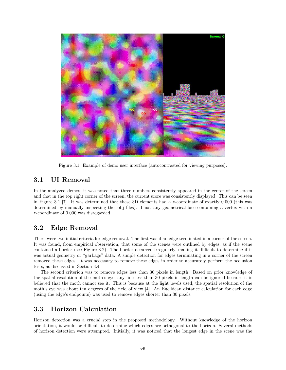

Figure 3.1: Example of demo user interface (autocontrasted for viewing purposes).

### 3.1 UI Removal

In the analyzed demos, it was noted that three numbers consistently appeared in the center of the screen and that in the top right corner of the screen, the current score was consistently displayed. This can be seen in Figure 3.1 [7]. It was determined that these 3D elements had a z-coordinate of exactly 0.000 (this was determined by manually inspecting the .obj files). Thus, any geometrical face containing a vertex with a z-coordinate of 0.000 was disregarded.

### 3.2 Edge Removal

There were two initial criteria for edge removal. The first was if an edge terminated in a corner of the screen. It was found, from empirical observation, that some of the scenes were outlined by edges, as if the scene contained a border (see Figure 3.2). The border occurred irregularly, making it difficult to determine if it was actual geometry or "garbage" data. A simple detection for edges terminating in a corner of the screen removed these edges. It was necessary to remove these edges in order to accurately perform the occlusion tests, as discussed in Section 3.4.

The second criterion was to remove edges less than 30 pixels in length. Based on prior knowledge of the spatial resolution of the moth's eye, any line less than 30 pixels in length can be ignored because it is believed that the moth cannot see it. This is because at the light levels used, the spatial resolution of the moth's eye was about ten degrees of the field of view [4]. An Euclidean distance calculation for each edge (using the edge's endpoints) was used to remove edges shorter than 30 pixels.

### 3.3 Horizon Calculation

Horizon detection was a crucial step in the proposed methodology. Without knowledge of the horizon orientation, it would be difficult to determine which edges are orthogonal to the horizon. Several methods of horizon detection were attempted. Initially, it was noticed that the longest edge in the scene was the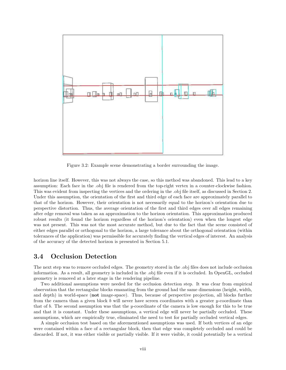

Figure 3.2: Example scene demonstrating a border surrounding the image.

horizon line itself. However, this was not always the case, so this method was abandoned. This lead to a key assumption: Each face in the .obj file is rendered from the top-right vertex in a counter-clockwise fashion. This was evident from inspecting the vertices and the ordering in the .obj file itself, as discussed in Section 2. Under this assumption, the orientation of the first and third edge of each face are approximately parallel to that of the horizon. However, their orientation is not necessarily equal to the horizon's orientation due to perspective distortion. Thus, the average orientation of the first and third edges over all edges remaining after edge removal was taken as an approximation to the horizon orientation. This approximation produced robust results (it found the horizon regardless of the horizon's orientation) even when the longest edge was not present. This was not the most accurate method, but due to the fact that the scene consisted of either edges parallel or orthogonal to the horizon, a large tolerance about the orthogonal orientation (within tolerances of the application) was permissible for accurately finding the vertical edges of interest. An analysis of the accuracy of the detected horizon is presented in Section 5.1.

#### 3.4 Occlusion Detection

The next step was to remove occluded edges. The geometry stored in the .obj files does not include occlusion information. As a result, all geometry is included in the .obj file even if it is occluded. In OpenGL, occluded geometry is removed at a later stage in the rendering pipeline.

Two additional assumptions were needed for the occlusion detection step. It was clear from empirical observation that the rectangular blocks emanating from the ground had the same dimensions (height, width, and depth) in world-space (not image-space). Thus, because of perspective projection, all blocks further from the camera than a given block b will never have screen coordinates with a greater y-coordinate than that of b. The second assumption was that the y-coordinate of the camera is low enough for this to be true and that it is constant. Under these assumptions, a vertical edge will never be partially occluded. These assumptions, which are empirically true, eliminated the need to test for partially occluded vertical edges.

A simple occlusion test based on the aforementioned assumptions was used. If both vertices of an edge were contained within a face of a rectangular block, then that edge was completely occluded and could be discarded. If not, it was either visible or partially visible. If it were visible, it could potentially be a vertical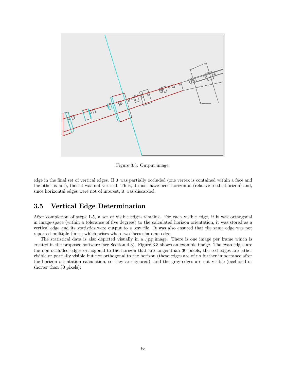

Figure 3.3: Output image.

edge in the final set of vertical edges. If it was partially occluded (one vertex is contained within a face and the other is not), then it was not vertical. Thus, it must have been horizontal (relative to the horizon) and, since horizontal edges were not of interest, it was discarded.

#### 3.5 Vertical Edge Determination

After completion of steps 1-5, a set of visible edges remains. For each visible edge, if it was orthogonal in image-space (within a tolerance of five degrees) to the calculated horizon orientation, it was stored as a vertical edge and its statistics were output to a .csv file. It was also ensured that the same edge was not reported multiple times, which arises when two faces share an edge.

The statistical data is also depicted visually in a .jpg image. There is one image per frame which is created in the proposed software (see Section 4.3). Figure 3.3 shows an example image. The cyan edges are the non-occluded edges orthogonal to the horizon that are longer than 30 pixels, the red edges are either visible or partially visible but not orthogonal to the horizon (these edges are of no further importance after the horizon orientation calculation, so they are ignored), and the gray edges are not visible (occluded or shorter than 30 pixels).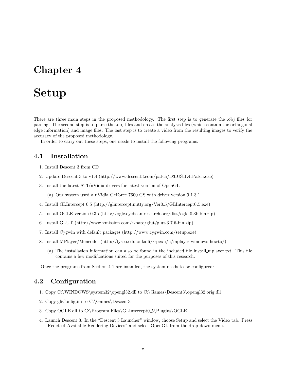## Setup

There are three main steps in the proposed methodology. The first step is to generate the .obj files for parsing. The second step is to parse the .obj files and create the analysis files (which contain the orthogonal edge information) and image files. The last step is to create a video from the resulting images to verify the accuracy of the proposed methodology.

In order to carry out these steps, one needs to install the following programs:

#### 4.1 Installation

- 1. Install Descent 3 from CD
- 2. Update Descent 3 to v1.4 (http://www.descent3.com/patch/D3 US 1.4 Patch.exe)
- 3. Install the latest ATI/nVidia drivers for latest version of OpenGL

(a) Our system used a nVidia GeForce 7600 GS with driver version 9.1.3.1

- 4. Install GLIntercept 0.5 (http://glintercept.nutty.org/Ver0 5/GLIntercept0 5.exe)
- 5. Install OGLE version 0.3b (http://ogle.eyebeamresearch.org/dist/ogle-0.3b.bin.zip)
- 6. Install GLUT (http://www.xmission.com/∼nate/glut/glut-3.7.6-bin.zip)
- 7. Install Cygwin with default packages (http://www.cygwin.com/setup.exe)
- 8. Install MPlayer/Mencoder (http://lyseo.edu.ouka.fi/∼pexu/h/mplayer windows howto/)
	- (a) The installation information can also be found in the included file install mplayer.txt. This file contains a few modifications suited for the purposes of this research.

Once the programs from Section 4.1 are installed, the system needs to be configured:

### 4.2 Configuration

- 1. Copy C:\WINDOWS\system32\opengl32.dll to C:\Games\Descent3\opengl32.orig.dll
- 2. Copy gliConfig.ini to C:\Games\Descent3
- 3. Copy OGLE.dll to C:\Program Files\GLIntercept0 5\Plugins\OGLE
- 4. Launch Descent 3. In the "Descent 3 Launcher" window, choose Setup and select the Video tab. Press "Redetect Available Rendering Devices" and select OpenGL from the drop-down menu.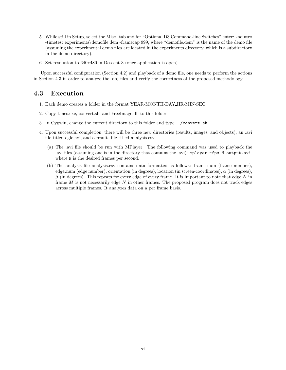- 5. While still in Setup, select the Misc. tab and for "Optional D3 Command-line Switches" enter: -nointro -timetest experiments\demofile.dem -framecap 999, where "demofile.dem" is the name of the demo file (assuming the experimental demo files are located in the experiments directory, which is a subdirectory in the demo directory).
- 6. Set resolution to 640x480 in Descent 3 (once application is open)

Upon successful configuration (Section 4.2) and playback of a demo file, one needs to perform the actions in Section 4.3 in order to analyze the .obj files and verify the correctness of the proposed methodology.

### 4.3 Execution

- 1. Each demo creates a folder in the format YEAR-MONTH-DAY HR-MIN-SEC
- 2. Copy Lines.exe, convert.sh, and FreeImage.dll to this folder
- 3. In Cygwin, change the current directory to this folder and type: ./convert.sh
- 4. Upon successful completion, there will be three new directories (results, images, and objects), an .avi file titled ogle.avi, and a results file titled analysis.csv.
	- (a) The .avi file should be run with MPlayer. The following command was used to playback the .avi files (assuming one is in the directory that contains the .avi): mplayer -fps N output.avi, where N is the desired frames per second.
	- (b) The analysis file analysis.csv contains data formatted as follows: frame num (frame number), edge num (edge number), orientation (in degrees), location (in screen-coordinates),  $\alpha$  (in degrees),  $\beta$  (in degrees). This repeats for every edge of every frame. It is important to note that edge N in frame  $M$  is not necessarily edge  $N$  in other frames. The proposed program does not track edges across multiple frames. It analyzes data on a per frame basis.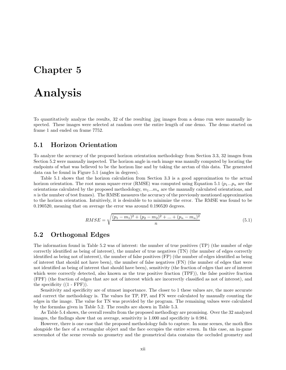## Analysis

To quantitatively analyze the results, 32 of the resulting .jpg images from a demo run were manually inspected. These images were selected at random over the entire length of one demo. The demo started on frame 1 and ended on frame 7752.

#### 5.1 Horizon Orientation

To analyze the accuracy of the proposed horizon orientation methodology from Section 3.3, 32 images from Section 5.2 were manually inspected. The horizon angle in each image was manully computed by locating the endpoints of what was believed to be the horizon line and by taking the arctan of this data. The generated data can be found in Figure 5.1 (angles in degrees).

Table 5.1 shows that the horizon calculation from Section 3.3 is a good approximation to the actual horizon orientation. The root mean square error (RMSE) was computed using Equation 5.1 ( $p_1...p_n$  are the orientations calculated by the proposed methodology,  $m_1...m_n$  are the manually calculated orientations, and  $n$  is the number of test frames). The RMSE measures the accuracy of the previously mentioned approximation to the horizon orientation. Intuitively, it is desirable to to minimize the error. The RMSE was found to be 0.190520, meaning that on average the error was around 0.190520 degrees.

$$
RMSE = \sqrt{\frac{(p_1 - m_1)^2 + (p_2 - m_2)^2 + \dots + (p_n - m_n)^2}{n}}
$$
(5.1)

#### 5.2 Orthogonal Edges

The information found in Table 5.2 was of interest: the number of true positives (TP) (the number of edge correctly identified as being of interest), the number of true negatives (TN) (the number of edges correctly identified as being not of interest), the number of false positives (FP) (the number of edges identified as being of interest that should not have been), the number of false negatives (FN) (the number of edges that were not identified as being of interest that should have been), sensitivity (the fraction of edges that are of interest which were correctly detected, also known as the true positive fraction (TPF), the false positive fraction (FPF) (the fraction of edges that are not of interest which are incorrectly classified as not of interest), and the specificity  $((1 - FPF))$ .

Sensitivity and specificity are of utmost importance. The closer to 1 these values are, the more accurate and correct the methodology is. The values for TP, FP, and FN were calculated by manually counting the edges in the image. The value for TN was provided by the program. The remaining values were calculated by the formulas given in Table 5.2. The results are shown in Table 5.3.

As Table 5.4 shows, the overall results from the proposed methodlogy are promising. Over the 32 analyzed images, the findings show that on average, sensitivity is 1.000 and specificity is 0.984.

However, there is one case that the proposed methodology fails to capture. In some scenes, the moth flies alongside the face of a rectangular object and the face occupies the entire screen. In this case, an in-game screenshot of the scene reveals no geometry and the geometrical data contains the occluded geometry and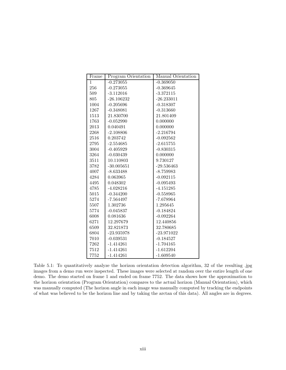| Frame        | Program Orientation | Manual Orientation |  |
|--------------|---------------------|--------------------|--|
| $\mathbf{1}$ | $-0.273055$         | $-0.369050$        |  |
| 256          | $-0.273055$         | $-0.369645$        |  |
| 509          | $-3.112016$         | $-3.372115$        |  |
| 805          | $-26.106232$        | $-26.233011$       |  |
| 1004         | $-0.205696$         | $-0.318307$        |  |
| 1267         | $-0.348081$         | $-0.313660$        |  |
| 1513         | 21.830700           | 21.801409          |  |
| 1763         | $-0.052990$         | 0.000000           |  |
| 2013         | 0.040491            | 0.000000           |  |
| 2268         | $-2.108806$         | $-2.216794$        |  |
| 2516         | 0.203742            | $-0.092562$        |  |
| 2795         | $-2.554685$         | $-2.615755$        |  |
| 3004         | $-0.405929$         | $-0.830315$        |  |
| 3264         | $-0.030439$         | 0.000000           |  |
| 3511         | 10.110803           | 9.730127           |  |
| 3782         | $-30.005651$        | $-29.536463$       |  |
| 4007         | $-8.633488$         | $-8.759983$        |  |
| 4284         | 0.063965            | $-0.092115$        |  |
| 4495         | 0.048302            | $-0.095493$        |  |
| 4785         | $-4.028216$         | $-4.151285$        |  |
| 5015         | $-0.344200$         | $-0.558965$        |  |
| 5274         | $-7.564497$         | $-7.678964$        |  |
| 5507         | 1.302736            | 1.295645           |  |
| 5774         | $-0.045837$         | $-0.184824$        |  |
| 6008         | 0.081636            | $-0.092264$        |  |
| 6271         | 12.297679           | 12.440856          |  |
| 6509         | 32.821873           | 32.780685          |  |
| 6804         | $-23.935978$        | $-23.971022$       |  |
| 7010         | $-0.039531$         | $-0.184527$        |  |
| 7262         | $-1.414261$         | $-1.704165$        |  |
| 7512         | $-1.414261$         | $-1.612204$        |  |
| 7752         | $-1.414261$         | $-1.609540$        |  |

Table 5.1: To quantitatively analyze the horizon orientation detection algorithm, 32 of the resulting .jpg images from a demo run were inspected. These images were selected at random over the entire length of one demo. The demo started on frame 1 and ended on frame 7752. The data shows how the approximation to the horizon orientation (Program Orientation) compares to the actual horizon (Manual Orientation), which was manually computed (The horizon angle in each image was manually computed by tracking the endpoints of what was believed to be the horizon line and by taking the arctan of this data). All angles are in degrees.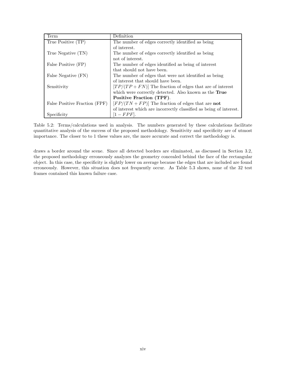| Term                          | Definition                                                         |
|-------------------------------|--------------------------------------------------------------------|
| True Positive (TP)            | The number of edges correctly identified as being                  |
|                               | of interest.                                                       |
| True Negative (TN)            | The number of edges correctly identified as being                  |
|                               | not of interest.                                                   |
| False Positive (FP)           | The number of edges identified as being of interest                |
|                               | that should not have been.                                         |
| False Negative (FN)           | The number of edges that were not identified as being              |
|                               | of interest that should have been.                                 |
| Sensitivity                   | $[TP/(TP + FN)]$ The fraction of edges that are of interest        |
|                               | which were correctly detected. Also known as the True              |
|                               | Positive Fraction (TPF).                                           |
| False Positive Fraction (FPF) | $[FP/(TN + FP)]$ The fraction of edges that are <b>not</b>         |
|                               | of interest which are incorrectly classified as being of interest. |
| Specificity                   | $[1 - FPF]$ .                                                      |

Table 5.2: Terms/calculations used in analysis. The numbers generated by these calculations facilitate quantitative analysis of the success of the proposed methodology. Sensitivity and specificity are of utmost importance. The closer to to 1 these values are, the more accurate and correct the methodology is.

draws a border around the scene. Since all detected borders are eliminated, as discussed in Section 3.2, the proposed methodology erroneously analyzes the geometry concealed behind the face of the rectangular object. In this case, the specificity is slightly lower on average because the edges that are included are found erroneously. However, this situation does not frequently occur. As Table 5.3 shows, none of the 32 test frames contained this known failure case.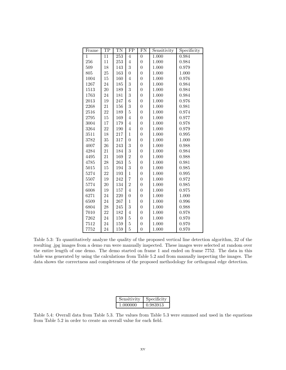| Frame          | TP              | TN               | $\overline{FP}$ | $\overline{FN}$  | Sensitivity | Specificity |
|----------------|-----------------|------------------|-----------------|------------------|-------------|-------------|
| $\overline{1}$ | $\overline{11}$ | $\overline{253}$ | $\overline{4}$  | $\overline{0}$   | 1.000       | 0.984       |
| 256            | 11              | 253              | $\overline{4}$  | $\overline{0}$   | 1.000       | 0.984       |
| 509            | 18              | 143              | 3               | $\overline{0}$   | 1.000       | 0.979       |
| 805            | 25              | 163              | $\overline{0}$  | $\overline{0}$   | 1.000       | 1.000       |
| 1004           | 15              | 160              | $\overline{4}$  | $\overline{0}$   | 1.000       | 0.976       |
| 1267           | 24              | 185              | 3               | $\boldsymbol{0}$ | 1.000       | 0.984       |
| 1513           | 20              | 189              | 3               | $\overline{0}$   | 1.000       | 0.984       |
| 1763           | 24              | 181              | 3               | $\overline{0}$   | 1.000       | 0.984       |
| 2013           | 19              | 247              | 6               | $\overline{0}$   | 1.000       | 0.976       |
| 2268           | 21              | 156              | 3               | $\overline{0}$   | 1.000       | 0.981       |
| 2516           | 22              | 189              | $\overline{5}$  | $\overline{0}$   | 1.000       | 0.974       |
| 2795           | 15              | 169              | $\overline{4}$  | $\overline{0}$   | 1.000       | 0.977       |
| 3004           | 17              | 179              | $\overline{4}$  | $\overline{0}$   | 1.000       | 0.978       |
| 3264           | 22              | 190              | $\overline{4}$  | $\overline{0}$   | 1.000       | 0.979       |
| 3511           | 18              | 217              | $\mathbf{1}$    | $\overline{0}$   | 1.000       | 0.995       |
| 3782           | 35              | 317              | $\overline{0}$  | $\overline{0}$   | 1.000       | 1.000       |
| 4007           | 26              | 243              | 3               | $\overline{0}$   | 1.000       | 0.988       |
| 4284           | 21              | 184              | 3               | $\overline{0}$   | 1.000       | 0.984       |
| 4495           | 21              | 169              | $\overline{2}$  | $\overline{0}$   | 1.000       | 0.988       |
| 4785           | 28              | 263              | $\overline{5}$  | $\overline{0}$   | 1.000       | 0.981       |
| 5015           | 15              | 194              | 3               | $\overline{0}$   | 1.000       | 0.985       |
| 5274           | 22              | 193              | $\overline{1}$  | $\overline{0}$   | 1.000       | 0.995       |
| 5507           | 19              | 242              | $\overline{7}$  | $\overline{0}$   | 1.000       | 0.972       |
| 5774           | 20              | 134              | $\overline{2}$  | $\overline{0}$   | 1.000       | 0.985       |
| 6008           | 19              | 157              | $\overline{4}$  | $\overline{0}$   | 1.000       | 0.975       |
| 6271           | 24              | 220              | $\overline{0}$  | $\overline{0}$   | 1.000       | 1.000       |
| 6509           | 24              | 267              | $\mathbf 1$     | $\overline{0}$   | 1.000       | 0.996       |
| 6804           | 28              | 245              | 3               | $\overline{0}$   | 1.000       | 0.988       |
| 7010           | 22              | 182              | $\overline{4}$  | $\overline{0}$   | 1.000       | 0.978       |
| 7262           | 24              | 159              | $\overline{5}$  | $\overline{0}$   | 1.000       | 0.970       |
| 7512           | 24              | 159              | 5               | $\overline{0}$   | 1.000       | 0.970       |
| 7752           | 24              | 159              | 5               | $\overline{0}$   | 1.000       | 0.970       |

Table 5.3: To quantitatively analyze the quality of the proposed vertical line detection algorithm, 32 of the resulting .jpg images from a demo run were manually inspected. These images were selected at random over the entire length of one demo. The demo started on frame 1 and ended on frame 7752. The data in this table was generated by using the calculations from Table 5.2 and from manually inspecting the images. The data shows the correctness and completeness of the proposed methodology for orthogonal edge detection.

| Sensitivity | Specificity |
|-------------|-------------|
| 1.000000    | 0.983913    |

Table 5.4: Overall data from Table 5.3. The values from Table 5.3 were summed and used in the equations from Table 5.2 in order to create an overall value for each field.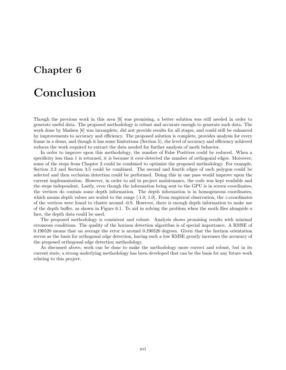## Conclusion

Though the previous work in this area [6] was promising, a better solution was still needed in order to generate useful data. The proposed methodology is robust and accurate enough to generate such data. The work done by Madsen [6] was incomplete, did not provide results for all stages, and could still be enhanced by improvements to accuracy and efficiency. The proposed solution is complete, provides analysis for every frame in a demo, and though it has some limitations (Section 5), the level of accuracy and efficiency achieved reduces the work required to extract the data needed for further analysis of moth behavior.

In order to improve upon this methodology, the number of False Positives could be reduced. When a specificity less than 1 is returned, it is because it over-detected the number of orthogonal edges. Moreover, some of the steps from Chapter 3 could be combined to optimize the proposed methodology. For example, Section 3.3 and Section 3.5 could be combined. The second and fourth edges of each polygon could be selected and then occlusion detection could be performed. Doing this in one pass would improve upon the current implementation. However, in order to aid in project maintenance, the code was kept readable and the steps independent. Lastly, even though the information being sent to the GPU is in screen coordinates, the vertices do contain some depth information. The depth information is in homogeneous coordinates, which means depth values are scaled to the range  $[-1.0, 1.0]$ . From empirical observation, the z-coordinates of the vertices were found to cluster around -0.9. However, there is enough depth information to make use of the depth buffer, as shown in Figure 6.1. To aid in solving the problem when the moth flies alongside a face, the depth data could be used.

The proposed methodology is consistent and robust. Analysis shows promising results with minimal erroneous conditions. The quality of the horizon detection algorithm is of special importance. A RMSE of 0.190520 means that on average the error is around 0.190520 degrees. Given that the horizon orientation serves as the basis for orthogonal edge detection, having such a low RMSE greatly increases the accuracy of the proposed orthogonal edge detection methodology.

As discussed above, work can be done to make the methodology more correct and robust, but in its current state, a strong underlying methodology has been developed that can be the basis for any future work relating to this project.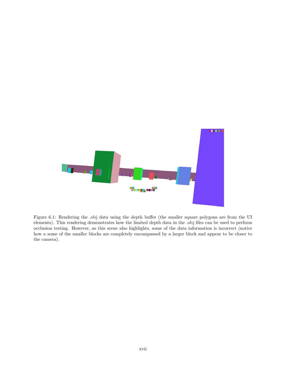

Figure 6.1: Rendering the .obj data using the depth buffer (the smaller square polygons are from the UI elements). This rendering demonstrates how the limited depth data in the .obj files can be used to perform occlusion testing. However, as this scene also highlights, some of the data information is incorrect (notice how a some of the smaller blocks are completely encompassed by a larger block and appear to be closer to the camera).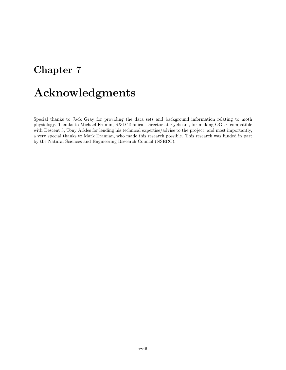## Acknowledgments

Special thanks to Jack Gray for providing the data sets and background information relating to moth physiology. Thanks to Michael Frumin, R&D Tehnical Director at Eyebeam, for making OGLE compatible with Descent 3, Tony Arkles for lending his technical expertise/advise to the project, and most importantly, a very special thanks to Mark Eramian, who made this research possible. This research was funded in part by the Natural Sciences and Engineering Research Council (NSERC).